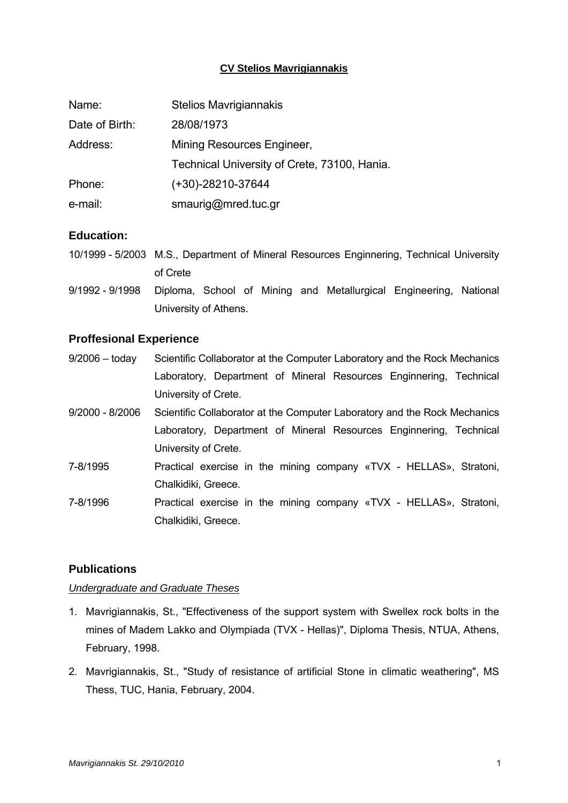## **CV Stelios Mavrigiannakis**

| Name:          | <b>Stelios Mavrigiannakis</b>                |  |
|----------------|----------------------------------------------|--|
| Date of Birth: | 28/08/1973                                   |  |
| Address:       | Mining Resources Engineer,                   |  |
|                | Technical University of Crete, 73100, Hania. |  |
| Phone:         | $(+30)-28210-37644$                          |  |
| e-mail:        | smaurig@mred.tuc.gr                          |  |

# **Education:**

| 10/1999 - 5/2003 M.S., Department of Mineral Resources Enginnering, Technical University |  |
|------------------------------------------------------------------------------------------|--|
| of Crete                                                                                 |  |

9/1992 - 9/1998 Diploma, School of Mining and Metallurgical Engineering, National University of Athens.

#### **Proffesional Experience**

- 9/2006 today Scientific Collaborator at the Computer Laboratory and the Rock Mechanics Laboratory, Department of Mineral Resources Enginnering, Technical University of Crete.
- 9/2000 8/2006 Scientific Collaborator at the Computer Laboratory and the Rock Mechanics Laboratory, Department of Mineral Resources Enginnering, Technical University of Crete.
- 7-8/1995 Practical exercise in the mining company «TVX HELLAS», Stratoni, Chalkidiki, Greece.
- 7-8/1996 Practical exercise in the mining company «TVX HELLAS», Stratoni, Chalkidiki, Greece.

# **Publications**

#### *Undergraduate and Graduate Theses*

- 1. Mavrigiannakis, St., "Effectiveness of the support system with Swellex rock bolts in the mines of Madem Lakko and Olympiada (TVX - Hellas)", Diploma Thesis, NTUA, Athens, February, 1998.
- 2. Mavrigiannakis, St., "Study of resistance of artificial Stone in climatic weathering", MS Thess, TUC, Hania, February, 2004.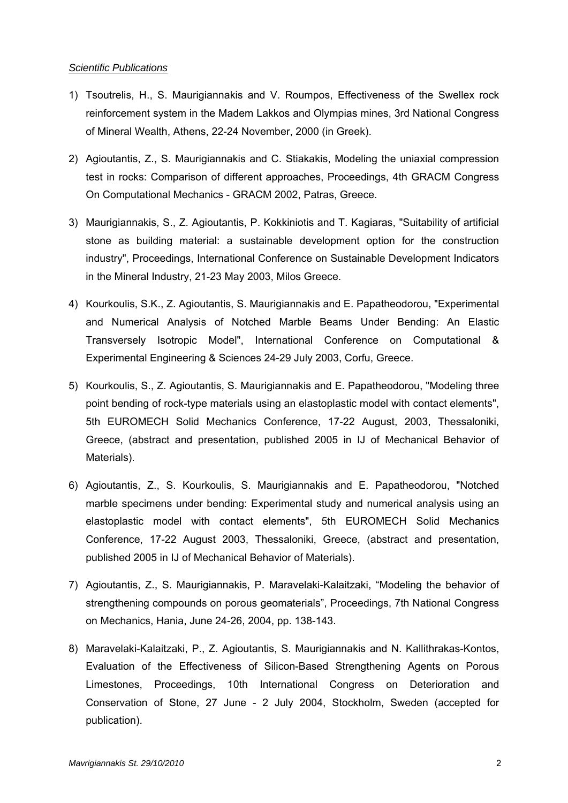#### *Scientific Publications*

- 1) Tsoutrelis, H., S. Maurigiannakis and V. Roumpos, Effectiveness of the Swellex rock reinforcement system in the Madem Lakkos and Olympias mines, 3rd National Congress of Mineral Wealth, Athens, 22-24 November, 2000 (in Greek).
- 2) Agioutantis, Z., S. Maurigiannakis and C. Stiakakis, Modeling the uniaxial compression test in rocks: Comparison of different approaches, Proceedings, 4th GRACM Congress On Computational Mechanics - GRACM 2002, Patras, Greece.
- 3) Maurigiannakis, S., Z. Agioutantis, P. Kokkiniotis and T. Kagiaras, "Suitability of artificial stone as building material: a sustainable development option for the construction industry", Proceedings, International Conference on Sustainable Development Indicators in the Mineral Industry, 21-23 May 2003, Milos Greece.
- 4) Kourkoulis, S.K., Z. Agioutantis, S. Maurigiannakis and E. Papatheodorou, "Experimental and Numerical Analysis of Notched Marble Beams Under Bending: An Elastic Transversely Isotropic Model", International Conference on Computational & Experimental Engineering & Sciences 24-29 July 2003, Corfu, Greece.
- 5) Kourkoulis, S., Z. Agioutantis, S. Maurigiannakis and E. Papatheodorou, "Modeling three point bending of rock-type materials using an elastoplastic model with contact elements", 5th EUROMECH Solid Mechanics Conference, 17-22 August, 2003, Thessaloniki, Greece, (abstract and presentation, published 2005 in IJ of Mechanical Behavior of Materials).
- 6) Agioutantis, Z., S. Kourkoulis, S. Maurigiannakis and E. Papatheodorou, "Notched marble specimens under bending: Experimental study and numerical analysis using an elastoplastic model with contact elements", 5th EUROMECH Solid Mechanics Conference, 17-22 August 2003, Thessaloniki, Greece, (abstract and presentation, published 2005 in IJ of Mechanical Behavior of Materials).
- 7) Agioutantis, Z., S. Maurigiannakis, P. Maravelaki-Kalaitzaki, "Modeling the behavior of strengthening compounds on porous geomaterials", Proceedings, 7th National Congress on Mechanics, Hania, June 24-26, 2004, pp. 138-143.
- 8) Maravelaki-Kalaitzaki, P., Z. Agioutantis, S. Maurigiannakis and N. Kallithrakas-Kontos, Evaluation of the Effectiveness of Silicon-Based Strengthening Agents on Porous Limestones, Proceedings, 10th International Congress on Deterioration and Conservation of Stone, 27 June - 2 July 2004, Stockholm, Sweden (accepted for publication).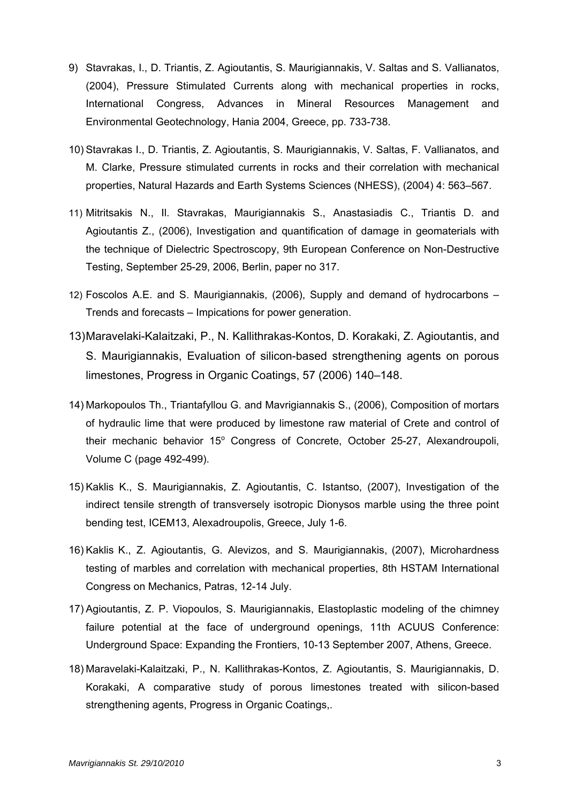- 9) Stavrakas, I., D. Triantis, Z. Agioutantis, S. Maurigiannakis, V. Saltas and S. Vallianatos, (2004), Pressure Stimulated Currents along with mechanical properties in rocks, International Congress, Advances in Mineral Resources Management and Environmental Geotechnology, Hania 2004, Greece, pp. 733-738.
- 10) Stavrakas I., D. Triantis, Z. Agioutantis, S. Maurigiannakis, V. Saltas, F. Vallianatos, and M. Clarke, Pressure stimulated currents in rocks and their correlation with mechanical properties, Natural Hazards and Earth Systems Sciences (NHESS), (2004) 4: 563–567.
- 11) Mitritsakis N., Il. Stavrakas, Maurigiannakis S., Anastasiadis C., Triantis D. and Agioutantis Z., (2006), Investigation and quantification of damage in geomaterials with the technique of Dielectric Spectroscopy, 9th European Conference on Non-Destructive Testing, September 25-29, 2006, Berlin, paper no 317.
- 12) Foscolos A.E. and S. Maurigiannakis, (2006), Supply and demand of hydrocarbons Trends and forecasts – Impications for power generation.
- 13) Maravelaki-Kalaitzaki, P., N. Kallithrakas-Kontos, D. Korakaki, Z. Agioutantis, and S. Maurigiannakis, Evaluation of silicon-based strengthening agents on porous limestones, Progress in Organic Coatings, 57 (2006) 140–148.
- 14) Markopoulos Th., Triantafyllou G. and Mavrigiannakis S., (2006), Composition of mortars of hydraulic lime that were produced by limestone raw material of Crete and control of their mechanic behavior 15° Congress of Concrete, October 25-27, Alexandroupoli, Volume C (page 492-499).
- 15) Kaklis K., S. Maurigiannakis, Z. Agioutantis, C. Istantso, (2007), Investigation of the indirect tensile strength of transversely isotropic Dionysos marble using the three point bending test, ICEM13, Alexadroupolis, Greece, July 1-6.
- 16) Kaklis K., Z. Agioutantis, G. Alevizos, and S. Maurigiannakis, (2007), Microhardness testing of marbles and correlation with mechanical properties, 8th HSTAM International Congress on Mechanics, Patras, 12-14 July.
- 17) Agioutantis, Z. P. Viopoulos, S. Maurigiannakis, Elastoplastic modeling of the chimney failure potential at the face of underground openings, 11th ACUUS Conference: Underground Space: Expanding the Frontiers, 10-13 September 2007, Athens, Greece.
- 18) Maravelaki-Kalaitzaki, P., N. Kallithrakas-Kontos, Z. Agioutantis, S. Maurigiannakis, D. Korakaki, A comparative study of porous limestones treated with silicon-based strengthening agents, Progress in Organic Coatings,.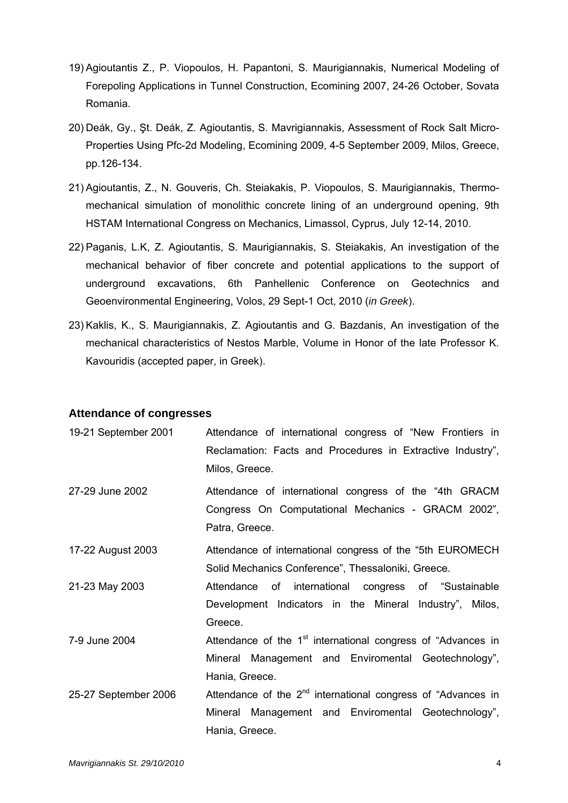- 19) Agioutantis Z., P. Viopoulos, H. Papantoni, S. Maurigiannakis, Numerical Modeling of Forepoling Applications in Tunnel Construction, Ecomining 2007, 24-26 October, Sovata Romania.
- 20) Deák, Gy., Şt. Deák, Z. Agioutantis, S. Mavrigiannakis, Assessment of Rock Salt Micro-Properties Using Pfc-2d Modeling, Ecomining 2009, 4-5 September 2009, Milos, Greece, pp.126-134.
- 21) Agioutantis, Z., N. Gouveris, Ch. Steiakakis, P. Viopoulos, S. Maurigiannakis, Thermomechanical simulation of monolithic concrete lining of an underground opening, 9th HSTAM International Congress on Mechanics, Limassol, Cyprus, July 12-14, 2010.
- 22) Paganis, L.K, Z. Agioutantis, S. Maurigiannakis, S. Steiakakis, Αn investigation of the mechanical behavior of fiber concrete and potential applications to the support of underground excavations, 6th Panhellenic Conference on Geotechnics and Geoenvironmental Engineering, Volos, 29 Sept-1 Oct, 2010 (*in Greek*).
- 23) Kaklis, K., S. Maurigiannakis, Z. Agioutantis and G. Bazdanis, An investigation of the mechanical characteristics of Nestos Marble, Volume in Honor of the late Professor K. Kavouridis (accepted paper, in Greek).

## **Attendance of congresses**

| 19-21 September 2001 | Attendance of international congress of "New Frontiers in                |
|----------------------|--------------------------------------------------------------------------|
|                      | Reclamation: Facts and Procedures in Extractive Industry",               |
|                      | Milos, Greece.                                                           |
| 27-29 June 2002      | Attendance of international congress of the "4th GRACM                   |
|                      | Congress On Computational Mechanics - GRACM 2002",                       |
|                      | Patra, Greece.                                                           |
| 17-22 August 2003    | Attendance of international congress of the "5th EUROMECH                |
|                      | Solid Mechanics Conference", Thessaloniki, Greece.                       |
| 21-23 May 2003       | Attendance of international congress of "Sustainable                     |
|                      | Development Indicators in the Mineral Industry", Milos,                  |
|                      | Greece.                                                                  |
| 7-9 June 2004        | Attendance of the 1 <sup>st</sup> international congress of "Advances in |
|                      | Mineral Management and Enviromental Geotechnology",                      |
|                      | Hania, Greece.                                                           |
| 25-27 September 2006 | Attendance of the $2^{nd}$ international congress of "Advances in        |
|                      | Mineral Management and Enviromental Geotechnology",                      |
|                      | Hania, Greece.                                                           |